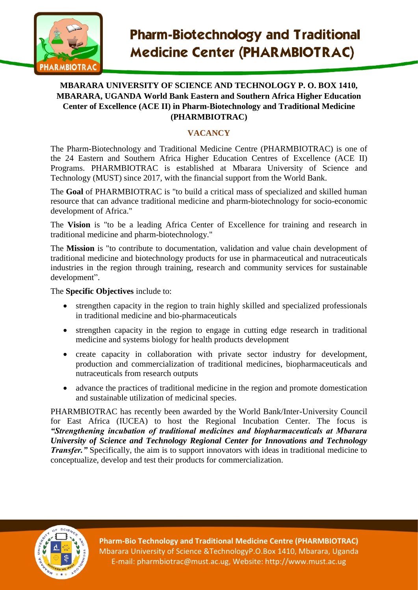

## **MBARARA UNIVERSITY OF SCIENCE AND TECHNOLOGY P. O. BOX 1410, MBARARA, UGANDA World Bank Eastern and Southern Africa Higher Education Center of Excellence (ACE II) in Pharm-Biotechnology and Traditional Medicine (PHARMBIOTRAC)**

# **VACANCY**

The Pharm-Biotechnology and Traditional Medicine Centre (PHARMBIOTRAC) is one of the 24 Eastern and Southern Africa Higher Education Centres of Excellence (ACE II) Programs. PHARMBIOTRAC is established at Mbarara University of Science and Technology (MUST) since 2017, with the financial support from the World Bank.

The **Goal** of PHARMBIOTRAC is "to build a critical mass of specialized and skilled human resource that can advance traditional medicine and pharm-biotechnology for socio-economic development of Africa."

The **Vision** is "to be a leading Africa Center of Excellence for training and research in traditional medicine and pharm-biotechnology."

The **Mission** is "to contribute to documentation, validation and value chain development of traditional medicine and biotechnology products for use in pharmaceutical and nutraceuticals industries in the region through training, research and community services for sustainable development".

The **Specific Objectives** include to:

- strengthen capacity in the region to train highly skilled and specialized professionals in traditional medicine and bio-pharmaceuticals
- strengthen capacity in the region to engage in cutting edge research in traditional medicine and systems biology for health products development
- create capacity in collaboration with private sector industry for development, production and commercialization of traditional medicines, biopharmaceuticals and nutraceuticals from research outputs
- advance the practices of traditional medicine in the region and promote domestication and sustainable utilization of medicinal species.

PHARMBIOTRAC has recently been awarded by the World Bank/Inter-University Council for East Africa (IUCEA) to host the Regional Incubation Center. The focus is *"Strengthening incubation of traditional medicines and biopharmaceuticals at Mbarara University of Science and Technology Regional Center for Innovations and Technology Transfer.* "Specifically, the aim is to support innovators with ideas in traditional medicine to conceptualize, develop and test their products for commercialization.



**Pharm-Bio Technology and Traditional Medicine Centre (PHARMBIOTRAC)** Mbarara University of Science &TechnologyP.O.Box 1410, Mbarara, Uganda E-mail: pharmbiotrac@must.ac.ug, Website: http://www.must.ac.ug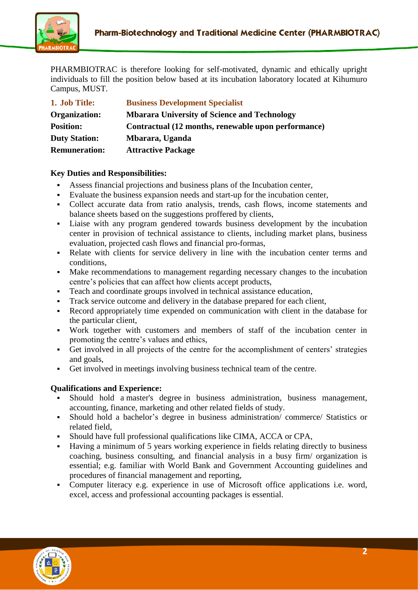

PHARMBIOTRAC is therefore looking for self-motivated, dynamic and ethically upright individuals to fill the position below based at its incubation laboratory located at Kihumuro Campus, MUST.

| 1. Job Title:        | <b>Business Development Specialist</b>              |
|----------------------|-----------------------------------------------------|
| Organization:        | <b>Mbarara University of Science and Technology</b> |
| <b>Position:</b>     | Contractual (12 months, renewable upon performance) |
| <b>Duty Station:</b> | Mbarara, Uganda                                     |
| <b>Remuneration:</b> | <b>Attractive Package</b>                           |

#### **Key Duties and Responsibilities:**

- Assess financial projections and business plans of the Incubation center,
- Evaluate the business expansion needs and start-up for the incubation center,
- Collect accurate data from ratio analysis, trends, cash flows, income statements and balance sheets based on the suggestions proffered by clients,
- Liaise with any program gendered towards business development by the incubation center in provision of technical assistance to clients, including market plans, business evaluation, projected cash flows and financial pro-formas,
- Relate with clients for service delivery in line with the incubation center terms and conditions,
- Make recommendations to management regarding necessary changes to the incubation centre's policies that can affect how clients accept products,
- Teach and coordinate groups involved in technical assistance education,
- Track service outcome and delivery in the database prepared for each client,
- Record appropriately time expended on communication with client in the database for the particular client,
- Work together with customers and members of staff of the incubation center in promoting the centre's values and ethics,
- Get involved in all projects of the centre for the accomplishment of centers' strategies and goals,
- Get involved in meetings involving business technical team of the centre.

#### **Qualifications and Experience:**

- Should hold a master's degree in business administration, business management, accounting, finance, marketing and other related fields of study.
- Should hold a bachelor's degree in business administration/ commerce/ Statistics or related field,
- Should have full professional qualifications like CIMA, ACCA or CPA,
- Having a minimum of 5 years working experience in fields relating directly to business coaching, business consulting, and financial analysis in a busy firm/ organization is essential; e.g. familiar with World Bank and Government Accounting guidelines and procedures of financial management and reporting,
- Computer literacy e.g. experience in use of Microsoft office applications i.e. word, excel, access and professional accounting packages is essential.